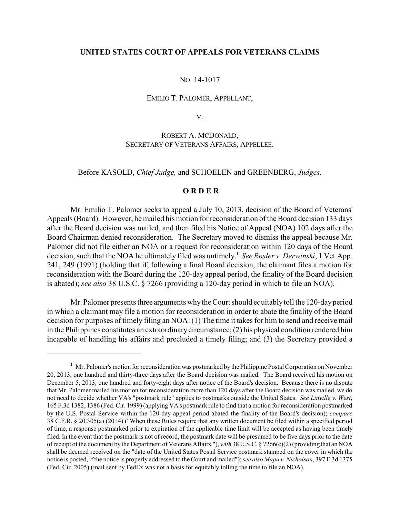## **UNITED STATES COURT OF APPEALS FOR VETERANS CLAIMS**

#### NO. 14-1017

#### EMILIO T. PALOMER, APPELLANT,

V.

# ROBERT A. MCDONALD, SECRETARY OF VETERANS AFFAIRS, APPELLEE.

Before KASOLD, *Chief Judge,* and SCHOELEN and GREENBERG, *Judges*.

# **O R D E R**

Mr. Emilio T. Palomer seeks to appeal a July 10, 2013, decision of the Board of Veterans' Appeals (Board). However, he mailed his motion for reconsideration of the Board decision 133 days after the Board decision was mailed, and then filed his Notice of Appeal (NOA) 102 days after the Board Chairman denied reconsideration. The Secretary moved to dismiss the appeal because Mr. Palomer did not file either an NOA or a request for reconsideration within 120 days of the Board decision, such that the NOA he ultimately filed was untimely.<sup>1</sup> See Rosler v. Derwinski, 1 Vet.App. 241, 249 (1991) (holding that if, following a final Board decision, the claimant files a motion for reconsideration with the Board during the 120-day appeal period, the finality of the Board decision is abated); *see also* 38 U.S.C. § 7266 (providing a 120-day period in which to file an NOA).

Mr. Palomer presents three arguments whythe Court should equitablytoll the 120-dayperiod in which a claimant may file a motion for reconsideration in order to abate the finality of the Board decision for purposes of timely filing an NOA: (1) The time it takes for him to send and receive mail in the Philippines constitutes an extraordinarycircumstance; (2) his physical condition rendered him incapable of handling his affairs and precluded a timely filing; and (3) the Secretary provided a

 $1$  Mr. Palomer's motion for reconsideration was postmarked by the Philippine Postal Corporation on November 20, 2013, one hundred and thirty-three days after the Board decision was mailed. The Board received his motion on December 5, 2013, one hundred and forty-eight days after notice of the Board's decision. Because there is no dispute that Mr. Palomer mailed his motion for reconsideration more than 120 days after the Board decision was mailed, we do not need to decide whether VA's "postmark rule" applies to postmarks outside the United States. *See Linville v. West*, 165 F.3d 1382, 1386 (Fed. Cir. 1999) (applying VA's postmark rule to find that a motion for reconsideration postmarked by the U.S. Postal Service within the 120-day appeal period abated the finality of the Board's decision); *compare* 38 C.F.R. § 20.305(a) (2014) ("When these Rules require that any written document be filed within a specified period of time, a response postmarked prior to expiration of the applicable time limit will be accepted as having been timely filed. In the event that the postmark is not of record, the postmark date will be presumed to be five days prior to the date of receipt of the document by the Department of Veterans Affairs."), *with* 38 U.S.C. § 7266(c)(2) (providing that an NOA shall be deemed received on the "date of the United States Postal Service postmark stamped on the cover in which the notice is posted, if the notice is properly addressed to the Court and mailed"); *see also Mapu v. Nicholson*, 397 F.3d 1375 (Fed. Cir. 2005) (mail sent by FedEx was not a basis for equitably tolling the time to file an NOA).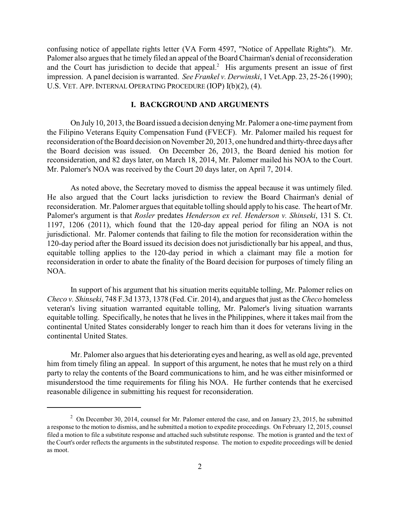confusing notice of appellate rights letter (VA Form 4597, "Notice of Appellate Rights"). Mr. Palomer also argues that he timely filed an appeal of the Board Chairman's denial of reconsideration and the Court has jurisdiction to decide that appeal.<sup>2</sup> His arguments present an issue of first impression. A panel decision is warranted. *See Frankel v. Derwinski*, 1 Vet.App. 23, 25-26 (1990); U.S. VET. APP. INTERNAL OPERATING PROCEDURE (IOP) I(b)(2), (4).

# **I. BACKGROUND AND ARGUMENTS**

On July 10, 2013, the Board issued a decision denying Mr. Palomer a one-time payment from the Filipino Veterans Equity Compensation Fund (FVECF). Mr. Palomer mailed his request for reconsideration of the Board decision on November 20, 2013, one hundred and thirty-three days after the Board decision was issued. On December 26, 2013, the Board denied his motion for reconsideration, and 82 days later, on March 18, 2014, Mr. Palomer mailed his NOA to the Court. Mr. Palomer's NOA was received by the Court 20 days later, on April 7, 2014.

As noted above, the Secretary moved to dismiss the appeal because it was untimely filed. He also argued that the Court lacks jurisdiction to review the Board Chairman's denial of reconsideration. Mr. Palomer argues that equitable tolling should apply to his case. The heart of Mr. Palomer's argument is that *Rosler* predates *Henderson ex rel. Henderson v. Shinseki*, 131 S. Ct. 1197, 1206 (2011), which found that the 120-day appeal period for filing an NOA is not jurisdictional. Mr. Palomer contends that failing to file the motion for reconsideration within the 120-day period after the Board issued its decision does not jurisdictionally bar his appeal, and thus, equitable tolling applies to the 120-day period in which a claimant may file a motion for reconsideration in order to abate the finality of the Board decision for purposes of timely filing an NOA.

In support of his argument that his situation merits equitable tolling, Mr. Palomer relies on *Checo v. Shinseki*, 748 F.3d 1373, 1378 (Fed. Cir. 2014), and argues that just as the *Checo* homeless veteran's living situation warranted equitable tolling, Mr. Palomer's living situation warrants equitable tolling. Specifically, he notes that he lives in the Philippines, where it takes mail from the continental United States considerably longer to reach him than it does for veterans living in the continental United States.

Mr. Palomer also argues that his deteriorating eyes and hearing, as well as old age, prevented him from timely filing an appeal. In support of this argument, he notes that he must rely on a third party to relay the contents of the Board communications to him, and he was either misinformed or misunderstood the time requirements for filing his NOA. He further contends that he exercised reasonable diligence in submitting his request for reconsideration.

 $\degree$  On December 30, 2014, counsel for Mr. Palomer entered the case, and on January 23, 2015, he submitted a response to the motion to dismiss, and he submitted a motion to expedite proceedings. On February 12, 2015, counsel filed a motion to file a substitute response and attached such substitute response. The motion is granted and the text of the Court's order reflects the arguments in the substituted response. The motion to expedite proceedings will be denied as moot.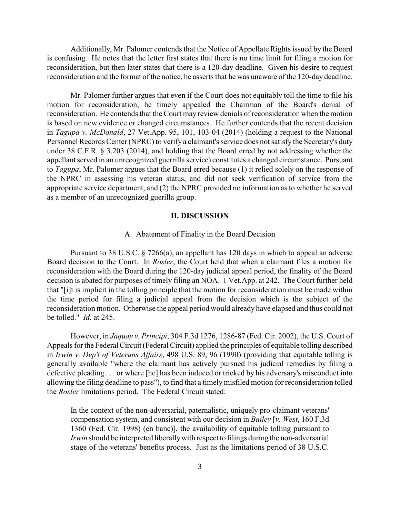Additionally, Mr. Palomer contends that the Notice of Appellate Rights issued by the Board is confusing. He notes that the letter first states that there is no time limit for filing a motion for reconsideration, but then later states that there is a 120-day deadline. Given his desire to request reconsideration and the format of the notice, he asserts that he was unaware of the 120-day deadline.

Mr. Palomer further argues that even if the Court does not equitably toll the time to file his motion for reconsideration, he timely appealed the Chairman of the Board's denial of reconsideration. He contends that the Court may review denials of reconsideration when the motion is based on new evidence or changed circumstances. He further contends that the recent decision in *Tagupa v. McDonald*, 27 Vet.App. 95, 101, 103-04 (2014) (holding a request to the National Personnel Records Center (NPRC) to verify a claimant's service does not satisfy the Secretary's duty under 38 C.F.R. § 3.203 (2014), and holding that the Board erred by not addressing whether the appellant served in an unrecognized guerrilla service) constitutes a changed circumstance. Pursuant to *Tagupa*, Mr. Palomer argues that the Board erred because (1) it relied solely on the response of the NPRC in assessing his veteran status, and did not seek verification of service from the appropriate service department, and (2) the NPRC provided no information as to whether he served as a member of an unrecognized guerilla group.

## **II. DISCUSSION**

#### A. Abatement of Finality in the Board Decision

Pursuant to 38 U.S.C. § 7266(a), an appellant has 120 days in which to appeal an adverse Board decision to the Court. In *Rosler*, the Court held that when a claimant files a motion for reconsideration with the Board during the 120-day judicial appeal period, the finality of the Board decision is abated for purposes of timely filing an NOA. 1 Vet.App. at 242. The Court further held that "[i]t is implicit in the tolling principle that the motion for reconsideration must be made within the time period for filing a judicial appeal from the decision which is the subject of the reconsideration motion. Otherwise the appeal period would already have elapsed and thus could not be tolled." *Id.* at 245.

However, in *Jaquay v. Principi*, 304 F.3d 1276, 1286-87 (Fed. Cir. 2002), the U.S. Court of Appeals for the Federal Circuit (Federal Circuit) applied the principles of equitable tolling described in *Irwin v. Dep't of Veterans Affairs*, 498 U.S. 89, 96 (1990) (providing that equitable tolling is generally available "where the claimant has actively pursued his judicial remedies by filing a defective pleading . . . or where [he] has been induced or tricked by his adversary's misconduct into allowing the filing deadline to pass"), to find that a timelymisfiled motion for reconsideration tolled the *Rosler* limitations period. The Federal Circuit stated:

In the context of the non-adversarial, paternalistic, uniquely pro-claimant veterans' compensation system, and consistent with our decision in *Bailey* [*v. West*, 160 F.3d 1360 (Fed. Cir. 1998) (en banc)], the availability of equitable tolling pursuant to *Irwin* should be interpreted liberally with respect to filings during the non-adversarial stage of the veterans' benefits process. Just as the limitations period of 38 U.S.C.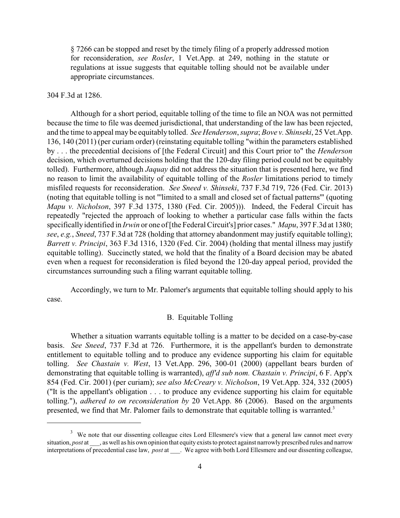§ 7266 can be stopped and reset by the timely filing of a properly addressed motion for reconsideration, *see Rosler*, 1 Vet.App. at 249, nothing in the statute or regulations at issue suggests that equitable tolling should not be available under appropriate circumstances.

#### 304 F.3d at 1286.

Although for a short period, equitable tolling of the time to file an NOA was not permitted because the time to file was deemed jurisdictional, that understanding of the law has been rejected, and the time to appeal may be equitably tolled. *See Henderson*, *supra*; *Bove v. Shinseki*, 25 Vet.App. 136, 140 (2011) (per curiam order) (reinstating equitable tolling "within the parameters established by . . . the precedential decisions of [the Federal Circuit] and this Court prior to" the *Henderson* decision, which overturned decisions holding that the 120-day filing period could not be equitably tolled). Furthermore, although *Jaquay* did not address the situation that is presented here, we find no reason to limit the availability of equitable tolling of the *Rosler* limitations period to timely misfiled requests for reconsideration. *See Sneed v. Shinseki*, 737 F.3d 719, 726 (Fed. Cir. 2013) (noting that equitable tolling is not "'limited to a small and closed set of factual patterns'" (quoting *Mapu v. Nicholson*, 397 F.3d 1375, 1380 (Fed. Cir. 2005))). Indeed, the Federal Circuit has repeatedly "rejected the approach of looking to whether a particular case falls within the facts specifically identified in *Irwin* or one of [the Federal Circuit's] prior cases." *Mapu*, 397 F.3d at 1380; *see*, *e.g.*, *Sneed*, 737 F.3d at 728 (holding that attorney abandonment may justify equitable tolling); *Barrett v. Principi*, 363 F.3d 1316, 1320 (Fed. Cir. 2004) (holding that mental illness may justify equitable tolling). Succinctly stated, we hold that the finality of a Board decision may be abated even when a request for reconsideration is filed beyond the 120-day appeal period, provided the circumstances surrounding such a filing warrant equitable tolling.

Accordingly, we turn to Mr. Palomer's arguments that equitable tolling should apply to his case.

## B. Equitable Tolling

Whether a situation warrants equitable tolling is a matter to be decided on a case-by-case basis. *See Sneed*, 737 F.3d at 726. Furthermore, it is the appellant's burden to demonstrate entitlement to equitable tolling and to produce any evidence supporting his claim for equitable tolling. *See Chastain v. West*, 13 Vet.App. 296, 300-01 (2000) (appellant bears burden of demonstrating that equitable tolling is warranted), *aff'd sub nom. Chastain v. Principi*, 6 F. App'x 854 (Fed. Cir. 2001) (per curiam); *see also McCreary v. Nicholson*, 19 Vet.App. 324, 332 (2005) ("It is the appellant's obligation . . . to produce any evidence supporting his claim for equitable tolling."), *adhered to on reconsideration by* 20 Vet.App. 86 (2006). Based on the arguments presented, we find that Mr. Palomer fails to demonstrate that equitable tolling is warranted.<sup>3</sup>

<sup>&</sup>lt;sup>3</sup> We note that our dissenting colleague cites Lord Ellesmere's view that a general law cannot meet every situation, *post* at \_\_\_, as well as his own opinion that equity exists to protect against narrowly prescribed rules and narrow interpretations of precedential case law, *post* at \_\_\_. We agree with both Lord Ellesmere and our dissenting colleague,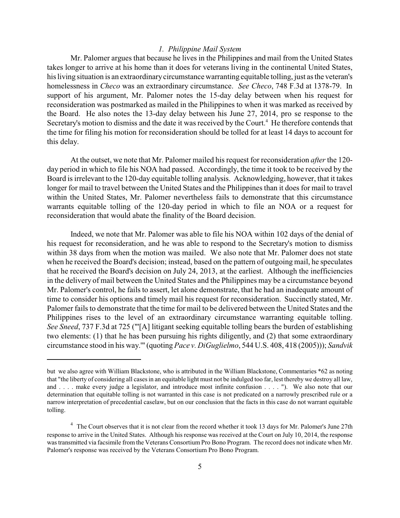## *1. Philippine Mail System*

Mr. Palomer argues that because he lives in the Philippines and mail from the United States takes longer to arrive at his home than it does for veterans living in the continental United States, his living situation is an extraordinary circumstance warranting equitable tolling, just as the veteran's homelessness in *Checo* was an extraordinary circumstance. *See Checo*, 748 F.3d at 1378-79. In support of his argument, Mr. Palomer notes the 15-day delay between when his request for reconsideration was postmarked as mailed in the Philippines to when it was marked as received by the Board. He also notes the 13-day delay between his June 27, 2014, pro se response to the Secretary's motion to dismiss and the date it was received by the Court.<sup>4</sup> He therefore contends that the time for filing his motion for reconsideration should be tolled for at least 14 days to account for this delay.

At the outset, we note that Mr. Palomer mailed his request for reconsideration *after* the 120 day period in which to file his NOA had passed. Accordingly, the time it took to be received by the Board is irrelevant to the 120-day equitable tolling analysis. Acknowledging, however, that it takes longer for mail to travel between the United States and the Philippines than it does for mail to travel within the United States, Mr. Palomer nevertheless fails to demonstrate that this circumstance warrants equitable tolling of the 120-day period in which to file an NOA or a request for reconsideration that would abate the finality of the Board decision.

Indeed, we note that Mr. Palomer was able to file his NOA within 102 days of the denial of his request for reconsideration, and he was able to respond to the Secretary's motion to dismiss within 38 days from when the motion was mailed. We also note that Mr. Palomer does not state when he received the Board's decision; instead, based on the pattern of outgoing mail, he speculates that he received the Board's decision on July 24, 2013, at the earliest. Although the inefficiencies in the delivery of mail between the United States and the Philippines may be a circumstance beyond Mr. Palomer's control, he fails to assert, let alone demonstrate, that he had an inadequate amount of time to consider his options and timely mail his request for reconsideration. Succinctly stated, Mr. Palomer fails to demonstrate that the time for mail to be delivered between the United States and the Philippines rises to the level of an extraordinary circumstance warranting equitable tolling. *See Sneed*, 737 F.3d at 725 ("'[A] litigant seeking equitable tolling bears the burden of establishing two elements: (1) that he has been pursuing his rights diligently, and (2) that some extraordinary circumstance stood in his way.'" (quoting *Pace v. DiGuglielmo*, 544 U.S. 408, 418 (2005))); *Sandvik*

but we also agree with William Blackstone, who is attributed in the William Blackstone, Commentaries \*62 as noting that "the liberty of considering all cases in an equitable light must not be indulged too far, lest thereby we destroy all law, and . . . . make every judge a legislator, and introduce most infinite confusion . . . . "). We also note that our determination that equitable tolling is not warranted in this case is not predicated on a narrowly prescribed rule or a narrow interpretation of precedential caselaw, but on our conclusion that the facts in this case do not warrant equitable tolling.

<sup>&</sup>lt;sup>4</sup> The Court observes that it is not clear from the record whether it took 13 days for Mr. Palomer's June 27th response to arrive in the United States. Although his response was received at the Court on July 10, 2014, the response was transmitted via facsimile from the Veterans Consortium Pro Bono Program. The record does not indicate when Mr. Palomer's response was received by the Veterans Consortium Pro Bono Program.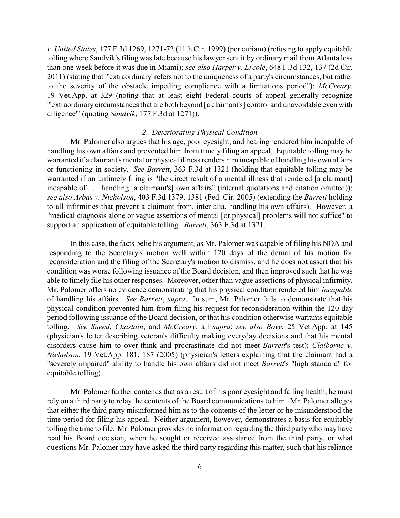*v. United States*, 177 F.3d 1269, 1271-72 (11th Cir. 1999) (per curiam) (refusing to apply equitable tolling where Sandvik's filing was late because his lawyer sent it by ordinary mail from Atlanta less than one week before it was due in Miami); *see also Harper v. Ercole*, 648 F.3d 132, 137 (2d Cir. 2011) (stating that "'extraordinary' refers not to the uniqueness of a party's circumstances, but rather to the severity of the obstacle impeding compliance with a limitations period"); *McCreary*, 19 Vet.App. at 329 (noting that at least eight Federal courts of appeal generally recognize "'extraordinary circumstances that are both beyond [a claimant's] control and unavoidable even with diligence'" (quoting *Sandvik*, 177 F.3d at 1271)).

# *2. Deteriorating Physical Condition*

Mr. Palomer also argues that his age, poor eyesight, and hearing rendered him incapable of handling his own affairs and prevented him from timely filing an appeal. Equitable tolling may be warranted if a claimant's mental or physical illness renders him incapable of handling his own affairs or functioning in society. *See Barrett*, 363 F.3d at 1321 (holding that equitable tolling may be warranted if an untimely filing is "the direct result of a mental illness that rendered [a claimant] incapable of . . . handling [a claimant's] own affairs" (internal quotations and citation omitted)); *see also Arbas v. Nicholson*, 403 F.3d 1379, 1381 (Fed. Cir. 2005) (extending the *Barrett* holding to all infirmities that prevent a claimant from, inter alia, handling his own affairs). However, a "medical diagnosis alone or vague assertions of mental [or physical] problems will not suffice" to support an application of equitable tolling. *Barrett*, 363 F.3d at 1321.

In this case, the facts belie his argument, as Mr. Palomer was capable of filing his NOA and responding to the Secretary's motion well within 120 days of the denial of his motion for reconsideration and the filing of the Secretary's motion to dismiss, and he does not assert that his condition was worse following issuance of the Board decision, and then improved such that he was able to timely file his other responses. Moreover, other than vague assertions of physical infirmity, Mr. Palomer offers no evidence demonstrating that his physical condition rendered him *incapable* of handling his affairs. *See Barrett*, *supra*. In sum, Mr. Palomer fails to demonstrate that his physical condition prevented him from filing his request for reconsideration within the 120-day period following issuance of the Board decision, or that his condition otherwise warrants equitable tolling. *See Sneed*, *Chastain*, and *McCreary*, all *supra*; *see also Bove*, 25 Vet.App. at 145 (physician's letter describing veteran's difficulty making everyday decisions and that his mental disorders cause him to over-think and procrastinate did not meet *Barrett*'s test); *Claiborne v. Nicholson*, 19 Vet.App. 181, 187 (2005) (physician's letters explaining that the claimant had a "severely impaired" ability to handle his own affairs did not meet *Barrett*'s "high standard" for equitable tolling).

Mr. Palomer further contends that as a result of his poor eyesight and failing health, he must rely on a third party to relay the contents of the Board communications to him. Mr. Palomer alleges that either the third party misinformed him as to the contents of the letter or he misunderstood the time period for filing his appeal. Neither argument, however, demonstrates a basis for equitably tolling the time to file. Mr. Palomer provides no information regarding the third partywho may have read his Board decision, when he sought or received assistance from the third party, or what questions Mr. Palomer may have asked the third party regarding this matter, such that his reliance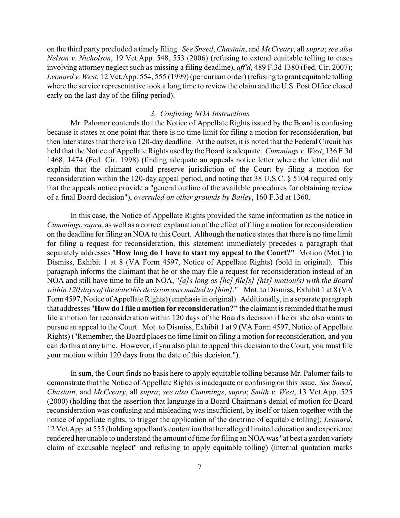on the third party precluded a timely filing. *See Sneed*, *Chastain*, and *McCreary*, all *supra*; *see also Nelson v. Nicholson*, 19 Vet.App. 548, 553 (2006) (refusing to extend equitable tolling to cases involving attorney neglect such as missing a filing deadline), *aff'd*, 489 F.3d 1380 (Fed. Cir. 2007); *Leonard v. West*, 12 Vet.App. 554, 555 (1999) (per curiam order) (refusing to grant equitable tolling where the service representative took a long time to review the claim and the U.S. Post Office closed early on the last day of the filing period).

#### *3. Confusing NOA Instructions*

Mr. Palomer contends that the Notice of Appellate Rights issued by the Board is confusing because it states at one point that there is no time limit for filing a motion for reconsideration, but then later states that there is a 120-day deadline. At the outset, it is noted that the Federal Circuit has held that the Notice of Appellate Rights used by the Board is adequate. *Cummings v. West*, 136 F.3d 1468, 1474 (Fed. Cir. 1998) (finding adequate an appeals notice letter where the letter did not explain that the claimant could preserve jurisdiction of the Court by filing a motion for reconsideration within the 120-day appeal period, and noting that 38 U.S.C. § 5104 required only that the appeals notice provide a "general outline of the available procedures for obtaining review of a final Board decision"), *overruled on other grounds by Bailey*, 160 F.3d at 1360.

In this case, the Notice of Appellate Rights provided the same information as the notice in *Cummings*, *supra*, as well as a correct explanation of the effect of filing a motion for reconsideration on the deadline for filing an NOA to this Court. Although the notice states that there is no time limit for filing a request for reconsideration, this statement immediately precedes a paragraph that separately addresses "**How long do I have to start my appeal to the Court?"** Motion (Mot.) to Dismiss, Exhibit 1 at 8 (VA Form 4597, Notice of Appellate Rights) (bold in original). This paragraph informs the claimant that he or she may file a request for reconsideration instead of an NOA and still have time to file an NOA, "*[a]s long as [he] file[s] [his] motion(s) with the Board within 120 days of the date this decision was mailed to [him]*." Mot. to Dismiss, Exhibit 1 at 8 (VA Form 4597, Notice of Appellate Rights) (emphasis in original). Additionally, in a separate paragraph that addresses "**How do I file a motion for reconsideration?"** the claimant is reminded that he must file a motion for reconsideration within 120 days of the Board's decision if he or she also wants to pursue an appeal to the Court. Mot. to Dismiss, Exhibit 1 at 9 (VA Form 4597, Notice of Appellate Rights) ("Remember, the Board places no time limit on filing a motion for reconsideration, and you can do this at any time. However, if you also plan to appeal this decision to the Court, you must file your motion within 120 days from the date of this decision.").

In sum, the Court finds no basis here to apply equitable tolling because Mr. Palomer fails to demonstrate that the Notice of Appellate Rights is inadequate or confusing on this issue. *See Sneed*, *Chastain*, and *McCreary*, all *supra*; *see also Cummings*, *supra*; *Smith v. West*, 13 Vet.App. 525 (2000) (holding that the assertion that language in a Board Chairman's denial of motion for Board reconsideration was confusing and misleading was insufficient, by itself or taken together with the notice of appellate rights, to trigger the application of the doctrine of equitable tolling); *Leonard*, 12 Vet.App. at 555 (holding appellant's contention that her alleged limited education and experience rendered her unable to understand the amount of time for filing an NOA was "at best a garden variety claim of excusable neglect" and refusing to apply equitable tolling) (internal quotation marks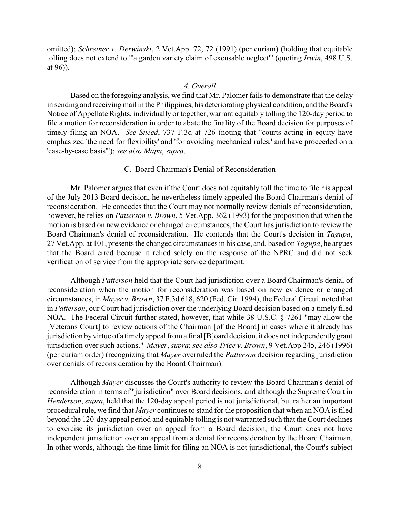omitted); *Schreiner v. Derwinski*, 2 Vet.App. 72, 72 (1991) (per curiam) (holding that equitable tolling does not extend to "'a garden variety claim of excusable neglect'" (quoting *Irwin*, 498 U.S. at 96)).

#### *4. Overall*

Based on the foregoing analysis, we find that Mr. Palomer fails to demonstrate that the delay in sending and receiving mail in the Philippines, his deteriorating physical condition, and the Board's Notice of Appellate Rights, individually or together, warrant equitably tolling the 120-day period to file a motion for reconsideration in order to abate the finality of the Board decision for purposes of timely filing an NOA. *See Sneed*, 737 F.3d at 726 (noting that "courts acting in equity have emphasized 'the need for flexibility' and 'for avoiding mechanical rules,' and have proceeded on a 'case-by-case basis'"); *see also Mapu*, *supra*.

# C. Board Chairman's Denial of Reconsideration

Mr. Palomer argues that even if the Court does not equitably toll the time to file his appeal of the July 2013 Board decision, he nevertheless timely appealed the Board Chairman's denial of reconsideration. He concedes that the Court may not normally review denials of reconsideration, however, he relies on *Patterson v. Brown*, 5 Vet.App. 362 (1993) for the proposition that when the motion is based on new evidence or changed circumstances, the Court has jurisdiction to review the Board Chairman's denial of reconsideration. He contends that the Court's decision in *Tagupa*, 27 Vet.App. at 101, presents the changed circumstances in his case, and, based on *Tagupa*, he argues that the Board erred because it relied solely on the response of the NPRC and did not seek verification of service from the appropriate service department.

Although *Patterson* held that the Court had jurisdiction over a Board Chairman's denial of reconsideration when the motion for reconsideration was based on new evidence or changed circumstances, in *Mayer v. Brown*, 37 F.3d 618, 620 (Fed. Cir. 1994), the Federal Circuit noted that in *Patterson*, our Court had jurisdiction over the underlying Board decision based on a timely filed NOA. The Federal Circuit further stated, however, that while 38 U.S.C. § 7261 "may allow the [Veterans Court] to review actions of the Chairman [of the Board] in cases where it already has jurisdiction by virtue of a timelyappeal from a final [B]oard decision, it does not independently grant jurisdiction over such actions." *Mayer*, *supra*; *see also Trice v. Brown*, 9 Vet.App 245, 246 (1996) (per curiam order) (recognizing that *Mayer* overruled the *Patterson* decision regarding jurisdiction over denials of reconsideration by the Board Chairman).

Although *Mayer* discusses the Court's authority to review the Board Chairman's denial of reconsideration in terms of "jurisdiction" over Board decisions, and although the Supreme Court in *Henderson*, *supra*, held that the 120-day appeal period is not jurisdictional, but rather an important procedural rule, we find that *Mayer* continues to stand for the proposition that when an NOA is filed beyond the 120-day appeal period and equitable tolling is not warranted such that the Court declines to exercise its jurisdiction over an appeal from a Board decision, the Court does not have independent jurisdiction over an appeal from a denial for reconsideration by the Board Chairman. In other words, although the time limit for filing an NOA is not jurisdictional, the Court's subject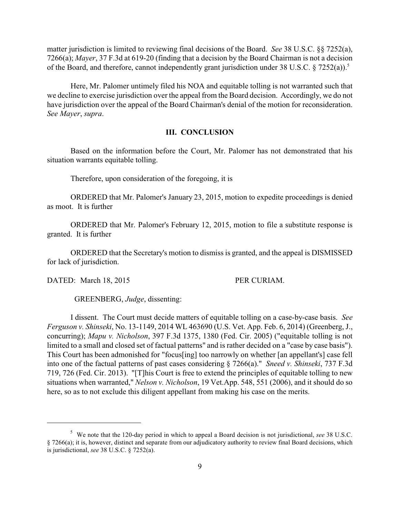matter jurisdiction is limited to reviewing final decisions of the Board. *See* 38 U.S.C. §§ 7252(a), 7266(a); *Mayer*, 37 F.3d at 619-20 (finding that a decision by the Board Chairman is not a decision of the Board, and therefore, cannot independently grant jurisdiction under 38 U.S.C. § 7252(a)).<sup>5</sup>

Here, Mr. Palomer untimely filed his NOA and equitable tolling is not warranted such that we decline to exercise jurisdiction over the appeal from the Board decision. Accordingly, we do not have jurisdiction over the appeal of the Board Chairman's denial of the motion for reconsideration. *See Mayer*, *supra*.

#### **III. CONCLUSION**

Based on the information before the Court, Mr. Palomer has not demonstrated that his situation warrants equitable tolling.

Therefore, upon consideration of the foregoing, it is

ORDERED that Mr. Palomer's January 23, 2015, motion to expedite proceedings is denied as moot. It is further

ORDERED that Mr. Palomer's February 12, 2015, motion to file a substitute response is granted. It is further

ORDERED that the Secretary's motion to dismiss is granted, and the appeal is DISMISSED for lack of jurisdiction.

DATED: March 18, 2015 PER CURIAM.

GREENBERG, *Judge*, dissenting:

I dissent. The Court must decide matters of equitable tolling on a case-by-case basis. *See Ferguson v. Shinseki*, No. 13-1149, 2014 WL 463690 (U.S. Vet. App. Feb. 6, 2014) (Greenberg, J., concurring); *Mapu v. Nicholson*, 397 F.3d 1375, 1380 (Fed. Cir. 2005) ("equitable tolling is not limited to a small and closed set of factual patterns" and is rather decided on a "case by case basis"). This Court has been admonished for "focus[ing] too narrowly on whether [an appellant's] case fell into one of the factual patterns of past cases considering § 7266(a)." *Sneed v. Shinseki*, 737 F.3d 719, 726 (Fed. Cir. 2013). "[T]his Court is free to extend the principles of equitable tolling to new situations when warranted," *Nelson v. Nicholson*, 19 Vet.App. 548, 551 (2006), and it should do so here, so as to not exclude this diligent appellant from making his case on the merits.

<sup>&</sup>lt;sup>5</sup> We note that the 120-day period in which to appeal a Board decision is not jurisdictional, *see* 38 U.S.C. § 7266(a); it is, however, distinct and separate from our adjudicatory authority to review final Board decisions, which is jurisdictional, *see* 38 U.S.C. § 7252(a).